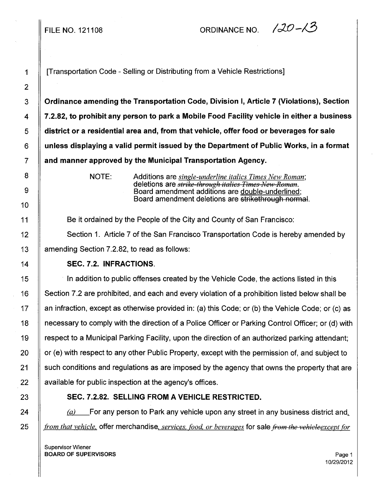FILE NO. 121108  $ORDINANCE NO.$   $/20-N3$ 

1 **I** [Transportation Code - Selling or Distributing from a Vehicle Restrictions]

3 Ordinance amending the Transportation Code, Division I, Article 7 (Violations), Section 4  $\parallel$  7.2.82, to prohibit any person to park a Mobile Food Facility vehicle in either a business 5 district or a residential area and, from that vehicle, offer food or beverages for sale  $6 \parallel$  unless displaying a valid permit issued by the Department of Public Works, in a format  $7 \parallel$  and manner approved by the Municipal Transportation Agency.

NOTE: Additions are *single-underline italics Times New Roman;*  deletions are *strike threugh italics Times }lew Reman.*  Board amendment additions are double-underlined; Board amendment deletions are strikethrough normal.

11 **Be it ordained by the People of the City and County of San Francisco:** 

12 | Section 1. Article 7 of the San Francisco Transportation Code is hereby amended by 13 | amending Section 7.2.82, to read as follows:

## 14 SEC. 7.2. INFRACTIONS.

15 In addition to public offenses created by the Vehicle Code, the actions listed in this 16 Section 7.2 are prohibited, and each and every violation of a prohibition listed below shall be 17 An infraction, except as otherwise provided in: (a) this Code; or (b) the Vehicle Code; or (c) as 18 necessary to comply with the direction of a Police Officer or Parking Control Officer; or (d) with 19 respect to a Municipal Parking Facility, upon the direction of an authorized parking attendant;  $20$  | or (e) with respect to any other Public Property, except with the permission of, and subject to 21 Such conditions and regulations as are imposed by the agency that owns the property that are  $22$  | available for public inspection at the agency's offices.

## 23 SEC. 7.2.82. SELLING FROM A VEHICLE RESTRICTED.

24  $\parallel$  (a) For any person to Park any vehicle upon any street in any business district and. 25 *from that vehicle*, offer merchandise, *services, food, or beverages* for sale *from the vehicleexcept for* 

Supervisor Wiener **BOARD OF SUPERVISORS** Page 1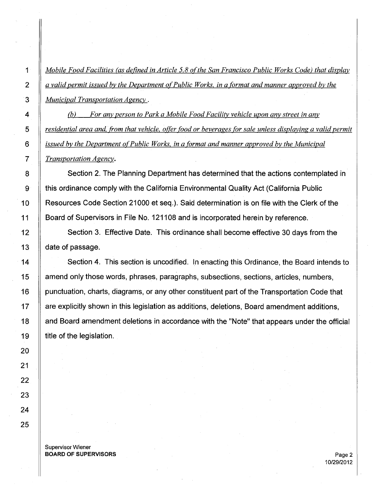1 *Mobile Food Facilities (as defined in Article 5.8 o(the San Francisco Public Works Code) that display*  2 *a valid permit issued by the Department of Public Works, in a format and manner approved by the*  3 *Municipal Transportation Agency* .

4 (b) *For any person to Park a Mobile Food Facility vehicle upon any street in any residential area and· from that vehicle, offer food or beverages for sale unless displaying a valid permit issued by the Department of Public Works, in a format and manner approved by the Municipal Transportation Agency.* 

8 Section 2. The Planning Department has determined that the actions contemplated in 9 **this ordinance comply with the California Environmental Quality Act (California Public** 10 | Resources Code Section 21000 et seq.). Said determination is on file with the Clerk of the 11 | Board of Supervisors in File No. 121108 and is incorporated herein by reference.

12 Section 3. Effective Date. This ordinance shall become effective 30 days from the 13 **date of passage.** 

14 Section 4. This section is uncodified. In enacting this Ordinance, the Board intends to 15 amend only those words, phrases, paragraphs, subsections, sections, articles, numbers, 16 | punctuation, charts, diagrams, or any other constituent part of the Transportation Code that 17 are explicitly shown in this legislation as additions, deletions, Board amendment additions, 18 | and Board amendment deletions in accordance with the "Note" that appears under the official 19  $\parallel$  title of the legislation.

Supervisor Wiener **BOARD OF SUPERVISORS** Page 2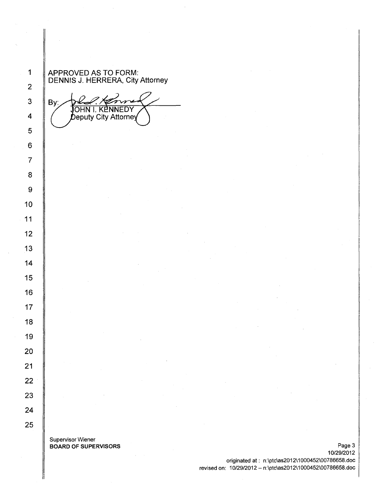APPROVED AS TO FORM: DENNIS J. HERRERA, City Attorney

By: JOHN I. KENNEDY Deputy City Attorney

Supervisor Wiener